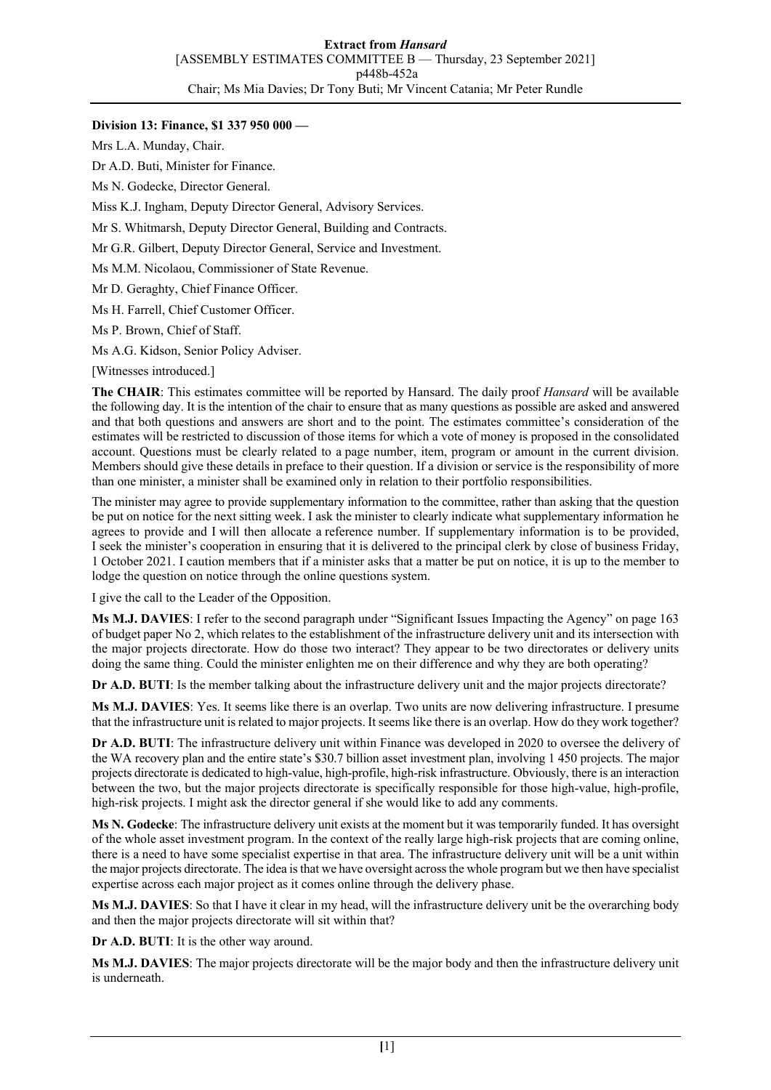## **Division 13: Finance, \$1 337 950 000 —**

Mrs L.A. Munday, Chair.

Dr A.D. Buti, Minister for Finance.

Ms N. Godecke, Director General.

Miss K.J. Ingham, Deputy Director General, Advisory Services.

Mr S. Whitmarsh, Deputy Director General, Building and Contracts.

Mr G.R. Gilbert, Deputy Director General, Service and Investment.

Ms M.M. Nicolaou, Commissioner of State Revenue.

Mr D. Geraghty, Chief Finance Officer.

Ms H. Farrell, Chief Customer Officer.

Ms P. Brown, Chief of Staff.

Ms A.G. Kidson, Senior Policy Adviser.

[Witnesses introduced.]

**The CHAIR**: This estimates committee will be reported by Hansard. The daily proof *Hansard* will be available the following day. It is the intention of the chair to ensure that as many questions as possible are asked and answered and that both questions and answers are short and to the point. The estimates committee's consideration of the estimates will be restricted to discussion of those items for which a vote of money is proposed in the consolidated account. Questions must be clearly related to a page number, item, program or amount in the current division. Members should give these details in preface to their question. If a division or service is the responsibility of more than one minister, a minister shall be examined only in relation to their portfolio responsibilities.

The minister may agree to provide supplementary information to the committee, rather than asking that the question be put on notice for the next sitting week. I ask the minister to clearly indicate what supplementary information he agrees to provide and I will then allocate a reference number. If supplementary information is to be provided, I seek the minister's cooperation in ensuring that it is delivered to the principal clerk by close of business Friday, 1 October 2021. I caution members that if a minister asks that a matter be put on notice, it is up to the member to lodge the question on notice through the online questions system.

I give the call to the Leader of the Opposition.

**Ms M.J. DAVIES**: I refer to the second paragraph under "Significant Issues Impacting the Agency" on page 163 of budget paper No 2, which relates to the establishment of the infrastructure delivery unit and its intersection with the major projects directorate. How do those two interact? They appear to be two directorates or delivery units doing the same thing. Could the minister enlighten me on their difference and why they are both operating?

**Dr A.D. BUTI**: Is the member talking about the infrastructure delivery unit and the major projects directorate?

**Ms M.J. DAVIES**: Yes. It seems like there is an overlap. Two units are now delivering infrastructure. I presume that the infrastructure unit is related to major projects. It seems like there is an overlap. How do they work together?

**Dr A.D. BUTI**: The infrastructure delivery unit within Finance was developed in 2020 to oversee the delivery of the WA recovery plan and the entire state's \$30.7 billion asset investment plan, involving 1 450 projects. The major projects directorate is dedicated to high-value, high-profile, high-risk infrastructure. Obviously, there is an interaction between the two, but the major projects directorate is specifically responsible for those high-value, high-profile, high-risk projects. I might ask the director general if she would like to add any comments.

**Ms N. Godecke**: The infrastructure delivery unit exists at the moment but it was temporarily funded. It has oversight of the whole asset investment program. In the context of the really large high-risk projects that are coming online, there is a need to have some specialist expertise in that area. The infrastructure delivery unit will be a unit within the major projects directorate. The idea is that we have oversight across the whole program but we then have specialist expertise across each major project as it comes online through the delivery phase.

**Ms M.J. DAVIES**: So that I have it clear in my head, will the infrastructure delivery unit be the overarching body and then the major projects directorate will sit within that?

**Dr A.D. BUTI**: It is the other way around.

**Ms M.J. DAVIES**: The major projects directorate will be the major body and then the infrastructure delivery unit is underneath.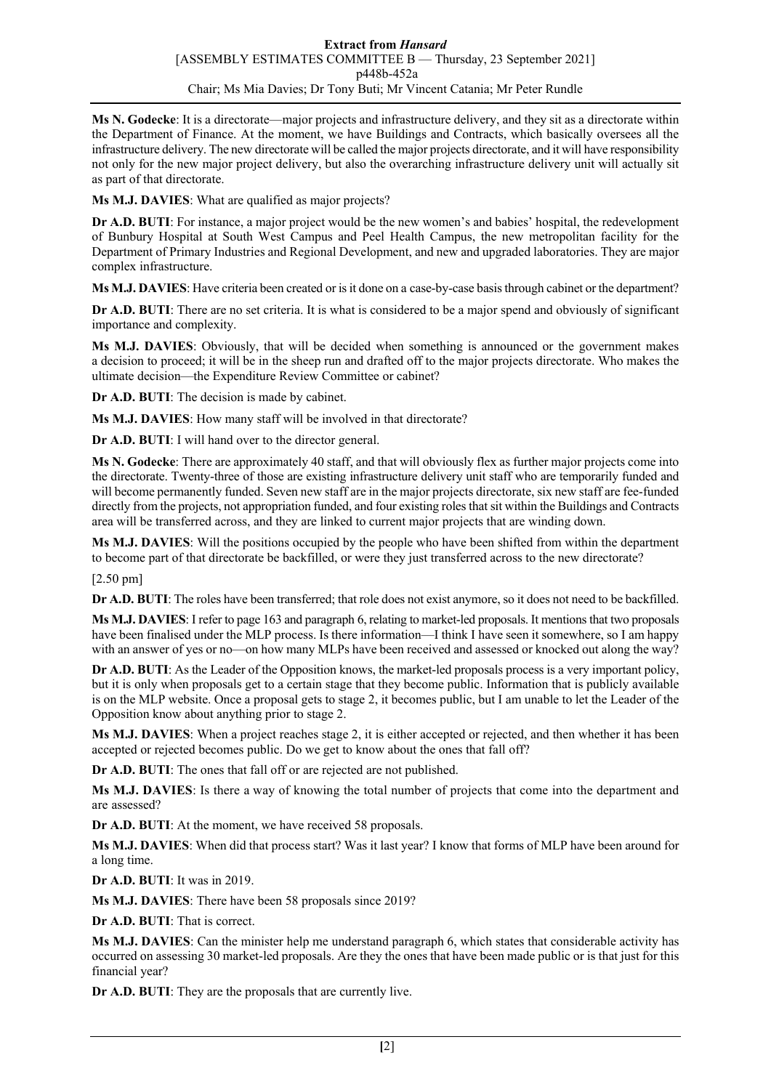**Ms N. Godecke**: It is a directorate—major projects and infrastructure delivery, and they sit as a directorate within the Department of Finance. At the moment, we have Buildings and Contracts, which basically oversees all the infrastructure delivery. The new directorate will be called the major projects directorate, and it will have responsibility not only for the new major project delivery, but also the overarching infrastructure delivery unit will actually sit as part of that directorate.

**Ms M.J. DAVIES**: What are qualified as major projects?

**Dr A.D. BUTI**: For instance, a major project would be the new women's and babies' hospital, the redevelopment of Bunbury Hospital at South West Campus and Peel Health Campus, the new metropolitan facility for the Department of Primary Industries and Regional Development, and new and upgraded laboratories. They are major complex infrastructure.

**Ms M.J. DAVIES**: Have criteria been created or is it done on a case-by-case basis through cabinet or the department?

**Dr A.D. BUTI**: There are no set criteria. It is what is considered to be a major spend and obviously of significant importance and complexity.

**Ms M.J. DAVIES**: Obviously, that will be decided when something is announced or the government makes a decision to proceed; it will be in the sheep run and drafted off to the major projects directorate. Who makes the ultimate decision—the Expenditure Review Committee or cabinet?

**Dr A.D. BUTI**: The decision is made by cabinet.

**Ms M.J. DAVIES**: How many staff will be involved in that directorate?

**Dr A.D. BUTI**: I will hand over to the director general.

**Ms N. Godecke**: There are approximately 40 staff, and that will obviously flex as further major projects come into the directorate. Twenty-three of those are existing infrastructure delivery unit staff who are temporarily funded and will become permanently funded. Seven new staff are in the major projects directorate, six new staff are fee-funded directly from the projects, not appropriation funded, and four existing roles that sit within the Buildings and Contracts area will be transferred across, and they are linked to current major projects that are winding down.

**Ms M.J. DAVIES**: Will the positions occupied by the people who have been shifted from within the department to become part of that directorate be backfilled, or were they just transferred across to the new directorate?

[2.50 pm]

**Dr A.D. BUTI**: The roles have been transferred; that role does not exist anymore, so it does not need to be backfilled.

**Ms M.J. DAVIES**: I refer to page 163 and paragraph 6, relating to market-led proposals. It mentions that two proposals have been finalised under the MLP process. Is there information—I think I have seen it somewhere, so I am happy with an answer of yes or no—on how many MLPs have been received and assessed or knocked out along the way?

**Dr A.D. BUTI**: As the Leader of the Opposition knows, the market-led proposals process is a very important policy, but it is only when proposals get to a certain stage that they become public. Information that is publicly available is on the MLP website. Once a proposal gets to stage 2, it becomes public, but I am unable to let the Leader of the Opposition know about anything prior to stage 2.

**Ms M.J. DAVIES**: When a project reaches stage 2, it is either accepted or rejected, and then whether it has been accepted or rejected becomes public. Do we get to know about the ones that fall off?

**Dr A.D. BUTI**: The ones that fall off or are rejected are not published.

**Ms M.J. DAVIES**: Is there a way of knowing the total number of projects that come into the department and are assessed?

**Dr A.D. BUTI**: At the moment, we have received 58 proposals.

**Ms M.J. DAVIES**: When did that process start? Was it last year? I know that forms of MLP have been around for a long time.

**Dr A.D. BUTI**: It was in 2019.

**Ms M.J. DAVIES**: There have been 58 proposals since 2019?

**Dr A.D. BUTI**: That is correct.

**Ms M.J. DAVIES**: Can the minister help me understand paragraph 6, which states that considerable activity has occurred on assessing 30 market-led proposals. Are they the ones that have been made public or is that just for this financial year?

**Dr A.D. BUTI**: They are the proposals that are currently live.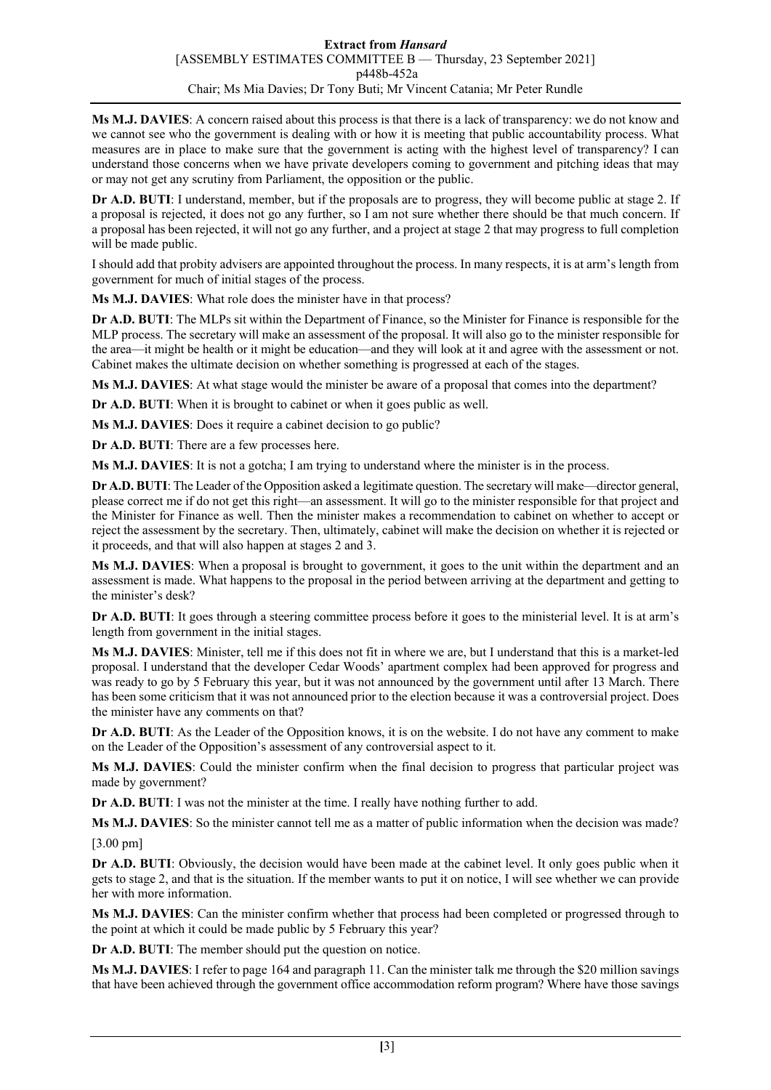**Ms M.J. DAVIES**: A concern raised about this process is that there is a lack of transparency: we do not know and we cannot see who the government is dealing with or how it is meeting that public accountability process. What measures are in place to make sure that the government is acting with the highest level of transparency? I can understand those concerns when we have private developers coming to government and pitching ideas that may or may not get any scrutiny from Parliament, the opposition or the public.

**Dr A.D. BUTI**: I understand, member, but if the proposals are to progress, they will become public at stage 2. If a proposal is rejected, it does not go any further, so I am not sure whether there should be that much concern. If a proposal has been rejected, it will not go any further, and a project at stage 2 that may progress to full completion will be made public.

I should add that probity advisers are appointed throughout the process. In many respects, it is at arm's length from government for much of initial stages of the process.

**Ms M.J. DAVIES**: What role does the minister have in that process?

**Dr A.D. BUTI**: The MLPs sit within the Department of Finance, so the Minister for Finance is responsible for the MLP process. The secretary will make an assessment of the proposal. It will also go to the minister responsible for the area—it might be health or it might be education—and they will look at it and agree with the assessment or not. Cabinet makes the ultimate decision on whether something is progressed at each of the stages.

**Ms M.J. DAVIES**: At what stage would the minister be aware of a proposal that comes into the department?

**Dr A.D. BUTI:** When it is brought to cabinet or when it goes public as well.

**Ms M.J. DAVIES**: Does it require a cabinet decision to go public?

**Dr A.D. BUTI**: There are a few processes here.

**Ms M.J. DAVIES**: It is not a gotcha; I am trying to understand where the minister is in the process.

**Dr A.D. BUTI**: The Leader of the Opposition asked a legitimate question. The secretary will make—director general, please correct me if do not get this right—an assessment. It will go to the minister responsible for that project and the Minister for Finance as well. Then the minister makes a recommendation to cabinet on whether to accept or reject the assessment by the secretary. Then, ultimately, cabinet will make the decision on whether it is rejected or it proceeds, and that will also happen at stages 2 and 3.

**Ms M.J. DAVIES**: When a proposal is brought to government, it goes to the unit within the department and an assessment is made. What happens to the proposal in the period between arriving at the department and getting to the minister's desk?

**Dr A.D. BUTI**: It goes through a steering committee process before it goes to the ministerial level. It is at arm's length from government in the initial stages.

**Ms M.J. DAVIES**: Minister, tell me if this does not fit in where we are, but I understand that this is a market-led proposal. I understand that the developer Cedar Woods' apartment complex had been approved for progress and was ready to go by 5 February this year, but it was not announced by the government until after 13 March. There has been some criticism that it was not announced prior to the election because it was a controversial project. Does the minister have any comments on that?

**Dr A.D. BUTI**: As the Leader of the Opposition knows, it is on the website. I do not have any comment to make on the Leader of the Opposition's assessment of any controversial aspect to it.

**Ms M.J. DAVIES**: Could the minister confirm when the final decision to progress that particular project was made by government?

**Dr A.D. BUTI**: I was not the minister at the time. I really have nothing further to add.

**Ms M.J. DAVIES**: So the minister cannot tell me as a matter of public information when the decision was made?

[3.00 pm]

**Dr A.D. BUTI**: Obviously, the decision would have been made at the cabinet level. It only goes public when it gets to stage 2, and that is the situation. If the member wants to put it on notice, I will see whether we can provide her with more information.

**Ms M.J. DAVIES**: Can the minister confirm whether that process had been completed or progressed through to the point at which it could be made public by 5 February this year?

**Dr A.D. BUTI**: The member should put the question on notice.

**Ms M.J. DAVIES**: I refer to page 164 and paragraph 11. Can the minister talk me through the \$20 million savings that have been achieved through the government office accommodation reform program? Where have those savings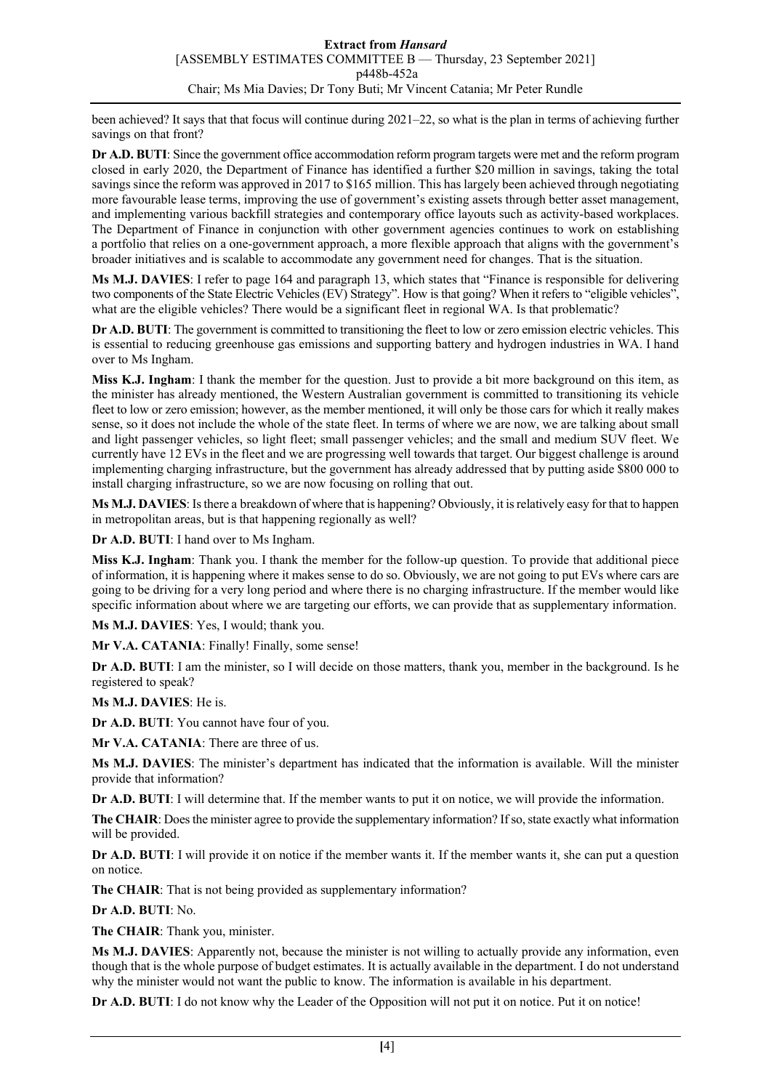been achieved? It says that that focus will continue during 2021–22, so what is the plan in terms of achieving further savings on that front?

**Dr A.D. BUTI**: Since the government office accommodation reform program targets were met and the reform program closed in early 2020, the Department of Finance has identified a further \$20 million in savings, taking the total savings since the reform was approved in 2017 to \$165 million. This has largely been achieved through negotiating more favourable lease terms, improving the use of government's existing assets through better asset management, and implementing various backfill strategies and contemporary office layouts such as activity-based workplaces. The Department of Finance in conjunction with other government agencies continues to work on establishing a portfolio that relies on a one-government approach, a more flexible approach that aligns with the government's broader initiatives and is scalable to accommodate any government need for changes. That is the situation.

**Ms M.J. DAVIES**: I refer to page 164 and paragraph 13, which states that "Finance is responsible for delivering two components of the State Electric Vehicles (EV) Strategy". How is that going? When it refers to "eligible vehicles", what are the eligible vehicles? There would be a significant fleet in regional WA. Is that problematic?

**Dr A.D. BUTI**: The government is committed to transitioning the fleet to low or zero emission electric vehicles. This is essential to reducing greenhouse gas emissions and supporting battery and hydrogen industries in WA. I hand over to Ms Ingham.

**Miss K.J. Ingham**: I thank the member for the question. Just to provide a bit more background on this item, as the minister has already mentioned, the Western Australian government is committed to transitioning its vehicle fleet to low or zero emission; however, as the member mentioned, it will only be those cars for which it really makes sense, so it does not include the whole of the state fleet. In terms of where we are now, we are talking about small and light passenger vehicles, so light fleet; small passenger vehicles; and the small and medium SUV fleet. We currently have 12 EVs in the fleet and we are progressing well towards that target. Our biggest challenge is around implementing charging infrastructure, but the government has already addressed that by putting aside \$800 000 to install charging infrastructure, so we are now focusing on rolling that out.

**Ms M.J. DAVIES**: Is there a breakdown of where that is happening? Obviously, it is relatively easy for that to happen in metropolitan areas, but is that happening regionally as well?

**Dr A.D. BUTI**: I hand over to Ms Ingham.

**Miss K.J. Ingham**: Thank you. I thank the member for the follow-up question. To provide that additional piece of information, it is happening where it makes sense to do so. Obviously, we are not going to put EVs where cars are going to be driving for a very long period and where there is no charging infrastructure. If the member would like specific information about where we are targeting our efforts, we can provide that as supplementary information.

**Ms M.J. DAVIES**: Yes, I would; thank you.

Mr V.A. CATANIA: Finally! Finally, some sense!

**Dr A.D. BUTI**: I am the minister, so I will decide on those matters, thank you, member in the background. Is he registered to speak?

**Ms M.J. DAVIES**: He is.

**Dr A.D. BUTI**: You cannot have four of you.

**Mr V.A. CATANIA**: There are three of us.

**Ms M.J. DAVIES**: The minister's department has indicated that the information is available. Will the minister provide that information?

**Dr A.D. BUTI**: I will determine that. If the member wants to put it on notice, we will provide the information.

**The CHAIR**: Does the minister agree to provide the supplementary information? If so, state exactly what information will be provided.

**Dr A.D. BUTI**: I will provide it on notice if the member wants it. If the member wants it, she can put a question on notice.

**The CHAIR**: That is not being provided as supplementary information?

**Dr A.D. BUTI**: No.

**The CHAIR**: Thank you, minister.

**Ms M.J. DAVIES**: Apparently not, because the minister is not willing to actually provide any information, even though that is the whole purpose of budget estimates. It is actually available in the department. I do not understand why the minister would not want the public to know. The information is available in his department.

**Dr A.D. BUTI**: I do not know why the Leader of the Opposition will not put it on notice. Put it on notice!